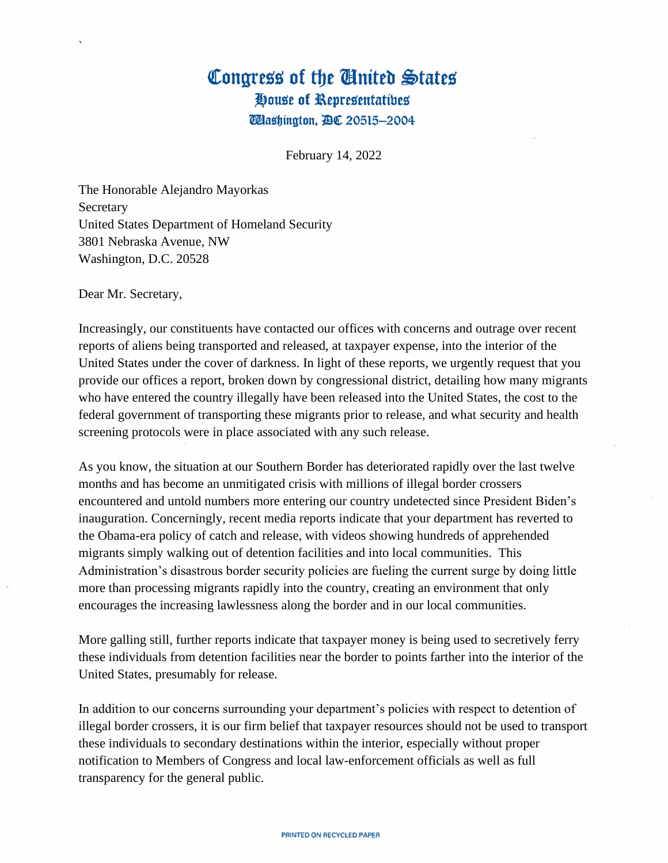## Congress of the United States House of Representatives **Wlashington, BC 20515-2004**

February 14, 2022

The Honorable Alejandro Mayorkas Secretary United States Department of Homeland Security 3801 Nebraska Avenue, NW Washington, D.C. 20528

Dear Mr. Secretary,

`

Increasingly, our constituents have contacted our offices with concerns and outrage over recent reports of aliens being transported and released, at taxpayer expense, into the interior of the United States under the cover of darkness. In light of these reports, we urgently request that you provide our offices a report, broken down by congressional district, detailing how many migrants who have entered the country illegally have been released into the United States, the cost to the federal government of transporting these migrants prior to release, and what security and health screening protocols were in place associated with any such release.

As you know, the situation at our Southern Border has deteriorated rapidly over the last twelve months and has become an unmitigated crisis with millions of illegal border crossers encountered and untold numbers more entering our country undetected since President Biden's inauguration. Concerningly, recent media reports indicate that your department has reverted to the Obama-era policy of catch and release, with videos showing hundreds of apprehended migrants simply walking out of detention facilities and into local communities. This Administration's disastrous border security policies are fueling the current surge by doing little more than processing migrants rapidly into the country, creating an environment that only encourages the increasing lawlessness along the border and in our local communities.

More galling still, further reports indicate that taxpayer money is being used to secretively ferry these individuals from detention facilities near the border to points farther into the interior of the United States, presumably for release.

In addition to our concerns surrounding your department's policies with respect to detention of illegal border crossers, it is our firm belief that taxpayer resources should not be used to transport these individuals to secondary destinations within the interior, especially without proper notification to Members of Congress and local law-enforcement officials as well as full transparency for the general public.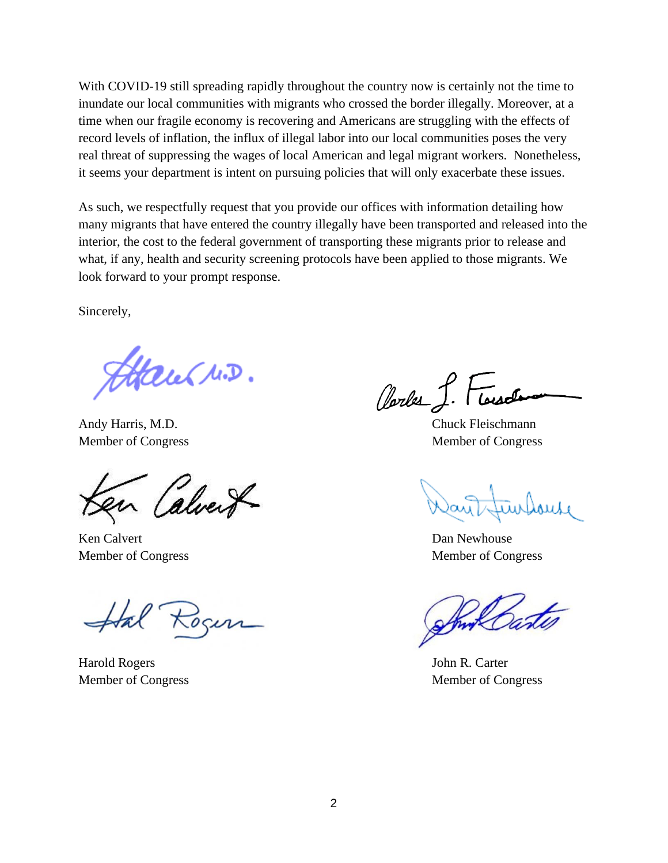With COVID-19 still spreading rapidly throughout the country now is certainly not the time to inundate our local communities with migrants who crossed the border illegally. Moreover, at a time when our fragile economy is recovering and Americans are struggling with the effects of record levels of inflation, the influx of illegal labor into our local communities poses the very real threat of suppressing the wages of local American and legal migrant workers. Nonetheless, it seems your department is intent on pursuing policies that will only exacerbate these issues.

As such, we respectfully request that you provide our offices with information detailing how many migrants that have entered the country illegally have been transported and released into the interior, the cost to the federal government of transporting these migrants prior to release and what, if any, health and security screening protocols have been applied to those migrants. We look forward to your prompt response.

Sincerely,

Fitcher M.D.

Andy Harris, M.D. Chuck Fleischmann

alver

Ken Calvert **Dan Newhouse** 

Harold Rogers John R. Carter Member of Congress Member of Congress

Oberles

Member of Congress Member of Congress

Member of Congress Member of Congress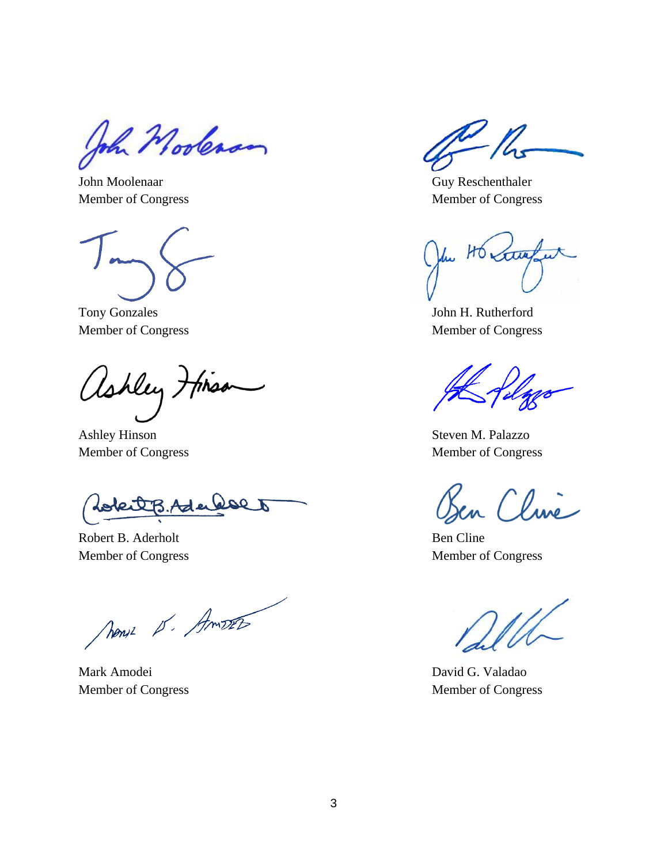John Moolenan

John Moolenaar Guy Reschenthaler

Tony Gonzales John H. Rutherford

ashley thiss

Ashley Hinson Steven M. Palazzo

 $\boldsymbol{\mathcal{I}}$ Ader

Robert B. Aderholt Ben Cline

Nous S. Amos

Mark Amodei David G. Valadao Member of Congress Member of Congress

 $\frac{1}{\sqrt{2}}$ 

Member of Congress Member of Congress

HO stre

Member of Congress Member of Congress

Member of Congress Member of Congress

Osen Cline

Member of Congress Member of Congress